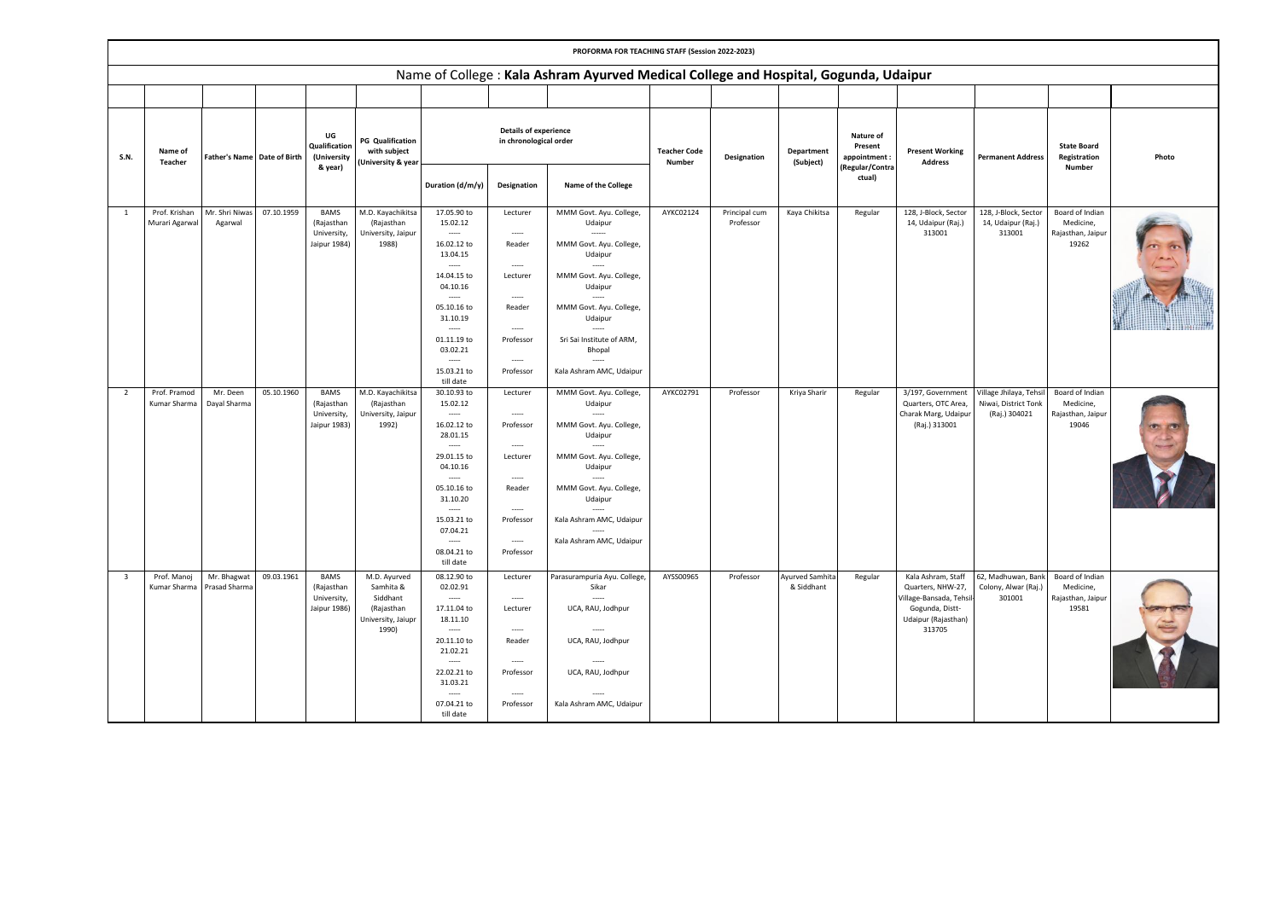|                         |                                 |                                    |            |                                                          |                                                                                    |                                                                                                                                                                                               |                                                                                                                              | PROFORMA FOR TEACHING STAFF (Session 2022-2023)                                                                                                                                                                                   |                               |                            |                                      |                                     |                                                                                                                        |                                                                 |                                                            |       |
|-------------------------|---------------------------------|------------------------------------|------------|----------------------------------------------------------|------------------------------------------------------------------------------------|-----------------------------------------------------------------------------------------------------------------------------------------------------------------------------------------------|------------------------------------------------------------------------------------------------------------------------------|-----------------------------------------------------------------------------------------------------------------------------------------------------------------------------------------------------------------------------------|-------------------------------|----------------------------|--------------------------------------|-------------------------------------|------------------------------------------------------------------------------------------------------------------------|-----------------------------------------------------------------|------------------------------------------------------------|-------|
|                         |                                 |                                    |            |                                                          |                                                                                    |                                                                                                                                                                                               |                                                                                                                              | Name of College : Kala Ashram Ayurved Medical College and Hospital, Gogunda, Udaipur                                                                                                                                              |                               |                            |                                      |                                     |                                                                                                                        |                                                                 |                                                            |       |
|                         |                                 |                                    |            |                                                          |                                                                                    |                                                                                                                                                                                               |                                                                                                                              |                                                                                                                                                                                                                                   |                               |                            |                                      |                                     |                                                                                                                        |                                                                 |                                                            |       |
| <b>S.N.</b>             | Name of<br>Teacher              | <b>Father's Name Date of Birth</b> |            | UG<br>Qualification<br>(University                       | <b>PG</b> Qualification<br>with subject<br><b>University &amp; year</b>            |                                                                                                                                                                                               | <b>Details of experience</b><br>in chronological order                                                                       |                                                                                                                                                                                                                                   | <b>Teacher Code</b><br>Number | Designation                | Department<br>(Subject)              | Nature of<br>Present<br>appointment | <b>Present Working</b><br><b>Address</b>                                                                               | <b>Permanent Address</b>                                        | <b>State Board</b><br>Registration                         | Photo |
|                         |                                 |                                    |            | & year)                                                  |                                                                                    | Duration (d/m/y)                                                                                                                                                                              | Designation                                                                                                                  | Name of the College                                                                                                                                                                                                               |                               |                            |                                      | Regular/Contra<br>ctual)            |                                                                                                                        |                                                                 | Number                                                     |       |
| $\mathbf{1}$            | Prof. Krishan<br>Murari Agarwal | Mr. Shri Niwas<br>Agarwal          | 07.10.1959 | BAMS<br>(Rajasthan<br>University,<br>Jaipur 1984)        | M.D. Kayachikitsa<br>(Rajasthan<br>University, Jaipur<br>1988)                     | 17.05.90 to<br>15.02.12<br>$\sim$<br>16.02.12 to<br>13.04.15<br>14.04.15 to<br>04.10.16<br>-----<br>05.10.16 to<br>31.10.19<br>01.11.19 to<br>03.02.21<br>$\overline{a}$<br>15.03.21 to       | Lecturer<br>$\sim$<br>Reader<br>$\sim$<br>Lecturer<br>$\sim$<br>Reader<br>$\overline{a}$<br>Professor<br>$\sim$<br>Professor | MMM Govt. Ayu. College,<br>Udaipur<br>MMM Govt. Ayu. College,<br>Udaipur<br>MMM Govt. Ayu. College,<br>Udaipur<br>$\sim$<br>MMM Govt. Ayu. College,<br>Udaipur<br>Sri Sai Institute of ARM,<br>Bhopal<br>Kala Ashram AMC, Udaipur | AYKC02124                     | Principal cum<br>Professor | Kaya Chikitsa                        | Regular                             | 128, J-Block, Sector<br>14, Udaipur (Raj.)<br>313001                                                                   | 128, J-Block, Sector<br>14, Udaipur (Raj.)<br>313001            | Board of Indian<br>Medicine,<br>Rajasthan, Jaipur<br>19262 |       |
| $\overline{2}$          | Prof. Pramod<br>Kumar Sharma    | Mr. Deen<br>Dayal Sharma           | 05.10.1960 | <b>BAMS</b><br>(Rajasthan<br>University,<br>Jaipur 1983) | M.D. Kayachikitsa<br>(Rajasthan<br>University, Jaipur<br>1992)                     | till date<br>30.10.93 to<br>15.02.12<br>16.02.12 to<br>28.01.15<br>1.11<br>29.01.15 to<br>04.10.16<br>05.10.16 to<br>31.10.20<br>-----<br>15.03.21 to<br>07.04.21<br>08.04.21 to<br>till date | Lecturer<br>Professor<br>$\sim$<br>Lecturer<br>$\cdots$<br>Reader<br>-----<br>Professor<br>$\sim$<br>Professor               | MMM Govt. Ayu. College,<br>Udaipur<br>MMM Govt. Ayu. College,<br>Udaipur<br>MMM Govt. Ayu. College,<br>Udaipur<br>MMM Govt. Ayu. College,<br>Udaipur<br>Kala Ashram AMC, Udaipur<br>Kala Ashram AMC, Udaipur                      | AYKC02791                     | Professor                  | Kriya Sharir                         | Regular                             | 3/197, Government<br>Quarters, OTC Area,<br>Charak Marg, Udaipur<br>(Raj.) 313001                                      | Village Jhilaya, Tehsi<br>Niwai, District Tonk<br>(Raj.) 304021 | Board of Indian<br>Medicine,<br>Rajasthan, Jaipur<br>19046 |       |
| $\overline{\mathbf{3}}$ | Prof. Manoj<br>Kumar Sharma     | Mr. Bhagwat<br>Prasad Sharma       | 09.03.1961 | <b>BAMS</b><br>(Rajasthan<br>University,<br>Jaipur 1986) | M.D. Ayurved<br>Samhita &<br>Siddhant<br>(Rajasthan<br>University, Jaiupr<br>1990) | 08.12.90 to<br>02.02.91<br>17.11.04 to<br>18.11.10<br>-----<br>20.11.10 to<br>21.02.21<br>22.02.21 to<br>31.03.21<br>07.04.21 to<br>till date                                                 | Lecturer<br>$\sim$<br>Lecturer<br>$\sim$<br>Reader<br>$\sim$<br>Professor<br>$\sim$<br>Professor                             | Parasurampuria Ayu. College,<br>Sikar<br>UCA, RAU, Jodhpur<br>UCA, RAU, Jodhpur<br>UCA, RAU, Jodhpur<br>Kala Ashram AMC, Udaipur                                                                                                  | AYSS00965                     | Professor                  | <b>Ayurved Samhita</b><br>& Siddhant | Regular                             | Kala Ashram, Staff<br>Quarters, NHW-27,<br>/illage-Bansada, Tehsil<br>Gogunda, Distt-<br>Udaipur (Rajasthan)<br>313705 | 62, Madhuwan, Bank<br>Colony, Alwar (Raj.<br>301001             | Board of Indian<br>Medicine,<br>Rajasthan, Jaipur<br>19581 |       |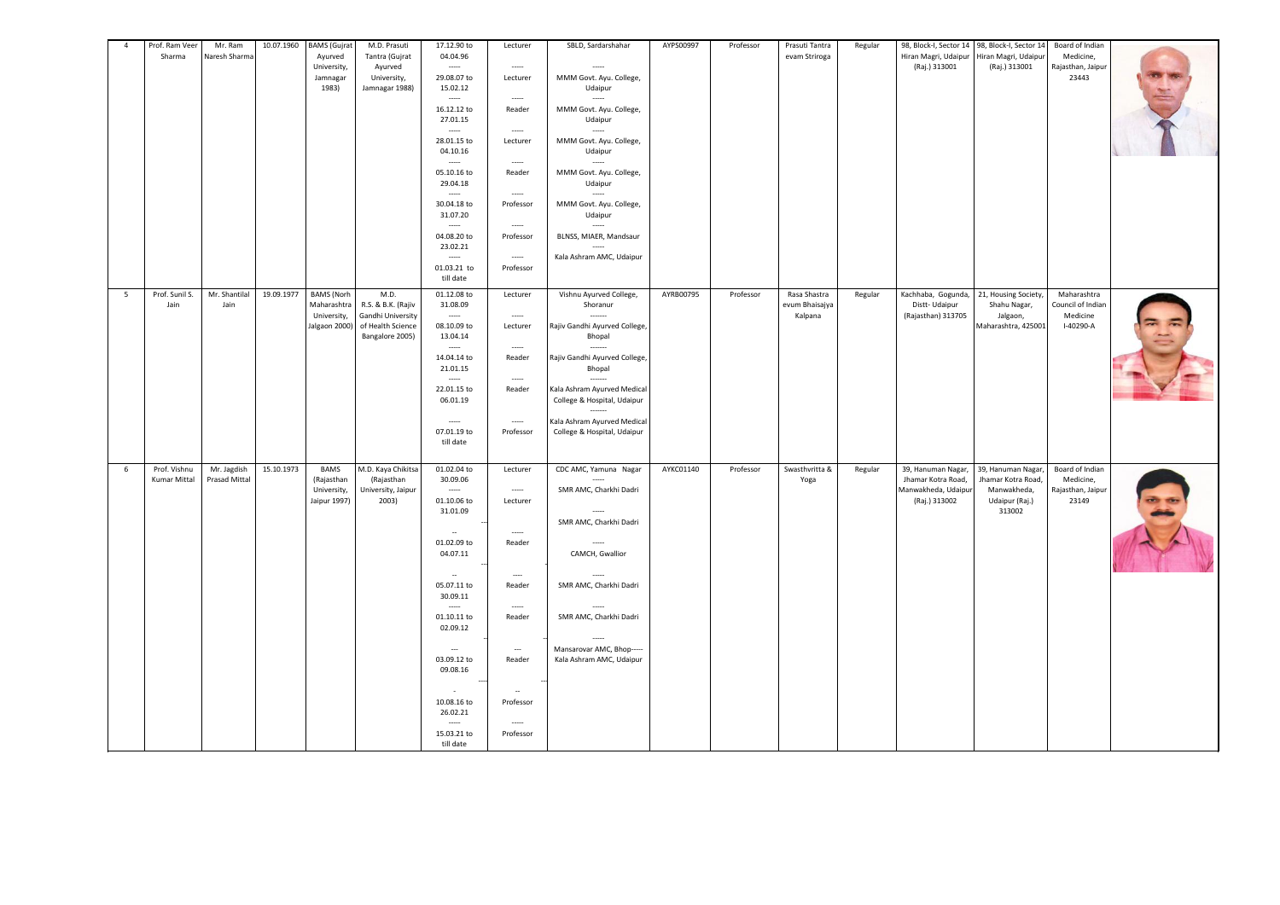| $\overline{4}$ | Prof. Ram Veer<br>Sharma | Mr. Ram<br>Naresh Sharma | 10.07.1960 | <b>BAMS</b> (Gujrat<br>Ayurved | M.D. Prasuti<br>Tantra (Gujrat         | 17.12.90 to<br>04.04.96              | Lecturer                           | SBLD, Sardarshahar                                         | AYPS00997 | Professor | Prasuti Tantra<br>evam Striroga | Regular | 98, Block-I, Sector 14 98, Block-I, Sector 14<br>Hiran Magri, Udaipur | Hiran Magri, Udaipur              | Board of Indian<br>Medicine,   |  |
|----------------|--------------------------|--------------------------|------------|--------------------------------|----------------------------------------|--------------------------------------|------------------------------------|------------------------------------------------------------|-----------|-----------|---------------------------------|---------|-----------------------------------------------------------------------|-----------------------------------|--------------------------------|--|
|                |                          |                          |            | University,<br>Jamnagar        | Ayurved<br>University,                 | 29.08.07 to                          | $\sim$<br>Lecturer                 | MMM Govt. Ayu. College,                                    |           |           |                                 |         | (Raj.) 313001                                                         | (Raj.) 313001                     | Rajasthan, Jaipur<br>23443     |  |
|                |                          |                          |            | 1983)                          | Jamnagar 1988)                         | 15.02.12                             |                                    | Udaipur                                                    |           |           |                                 |         |                                                                       |                                   |                                |  |
|                |                          |                          |            |                                |                                        | $\cdots$<br>16.12.12 to              | $\sim$<br>Reader                   | MMM Govt. Ayu. College,                                    |           |           |                                 |         |                                                                       |                                   |                                |  |
|                |                          |                          |            |                                |                                        | 27.01.15                             | $\sim$                             | Udaipur                                                    |           |           |                                 |         |                                                                       |                                   |                                |  |
|                |                          |                          |            |                                |                                        | 28.01.15 to                          | Lecturer                           | MMM Govt. Ayu. College,                                    |           |           |                                 |         |                                                                       |                                   |                                |  |
|                |                          |                          |            |                                |                                        | 04.10.16                             | $\sim$                             | Udaipur                                                    |           |           |                                 |         |                                                                       |                                   |                                |  |
|                |                          |                          |            |                                |                                        | 05.10.16 to<br>29.04.18              | Reader                             | MMM Govt. Ayu. College,<br>Udaipur                         |           |           |                                 |         |                                                                       |                                   |                                |  |
|                |                          |                          |            |                                |                                        | $\cdots$                             | $\cdots$                           |                                                            |           |           |                                 |         |                                                                       |                                   |                                |  |
|                |                          |                          |            |                                |                                        | 30.04.18 to<br>31.07.20              | Professor                          | MMM Govt. Ayu. College,<br>Udaipur                         |           |           |                                 |         |                                                                       |                                   |                                |  |
|                |                          |                          |            |                                |                                        | 04.08.20 to                          | $\sim$<br>Professor                | BLNSS, MIAER, Mandsaur                                     |           |           |                                 |         |                                                                       |                                   |                                |  |
|                |                          |                          |            |                                |                                        | 23.02.21<br>-----                    | $\cdots$                           | Kala Ashram AMC, Udaipur                                   |           |           |                                 |         |                                                                       |                                   |                                |  |
|                |                          |                          |            |                                |                                        | 01.03.21 to                          | Professor                          |                                                            |           |           |                                 |         |                                                                       |                                   |                                |  |
| 5              | Prof. Sunil S.           | Mr. Shantilal            | 19.09.1977 | <b>BAMS</b> (Norh              | M.D.                                   | till date<br>01.12.08 to             | Lecturer                           | Vishnu Ayurved College,                                    | AYRB00795 | Professor | Rasa Shastra                    | Regular | Kachhaba, Gogunda,                                                    | 21, Housing Society,              | Maharashtra                    |  |
|                | Jain                     | Jain                     |            | Maharashtra                    | R.S. & B.K. (Rajiv                     | 31.08.09                             |                                    | Shoranur                                                   |           |           | evum Bhaisajya                  |         | Distt-Udaipur                                                         | Shahu Nagar,                      | Council of Indian              |  |
|                |                          |                          |            | University,<br>Jalgaon 2000)   | Gandhi University<br>of Health Science | $\cdots$<br>08.10.09 to              | $\sim$<br>Lecturer                 | Rajiv Gandhi Ayurved College,                              |           |           | Kalpana                         |         | (Rajasthan) 313705                                                    | Jalgaon,<br>Maharashtra, 425001   | Medicine<br>I-40290-A          |  |
|                |                          |                          |            |                                | Bangalore 2005)                        | 13.04.14<br>$\sim$                   | $\sim$                             | Bhopal                                                     |           |           |                                 |         |                                                                       |                                   |                                |  |
|                |                          |                          |            |                                |                                        | 14.04.14 to                          | Reader                             | Rajiv Gandhi Ayurved College,                              |           |           |                                 |         |                                                                       |                                   |                                |  |
|                |                          |                          |            |                                |                                        | 21.01.15                             | $\overline{\phantom{a}}$           | Bhopal                                                     |           |           |                                 |         |                                                                       |                                   |                                |  |
|                |                          |                          |            |                                |                                        | 22.01.15 to<br>06.01.19              | Reader                             | Kala Ashram Ayurved Medical<br>College & Hospital, Udaipur |           |           |                                 |         |                                                                       |                                   |                                |  |
|                |                          |                          |            |                                |                                        | $\cdots$                             | $\sim$                             | Kala Ashram Ayurved Medical                                |           |           |                                 |         |                                                                       |                                   |                                |  |
|                |                          |                          |            |                                |                                        | 07.01.19 to                          | Professor                          | College & Hospital, Udaipur                                |           |           |                                 |         |                                                                       |                                   |                                |  |
|                |                          |                          |            |                                |                                        | till date                            |                                    |                                                            |           |           |                                 |         |                                                                       |                                   |                                |  |
| 6              | Prof. Vishnu             | Mr. Jagdish              | 15.10.1973 | <b>BAMS</b>                    | M.D. Kaya Chikitsa                     | 01.02.04 to                          | Lecturer                           | CDC AMC, Yamuna Nagar                                      | AYKC01140 | Professor | Swasthvritta &                  | Regular | 39, Hanuman Nagar,                                                    | 39, Hanuman Nagar                 | Board of Indian                |  |
|                | Kumar Mittal             | Prasad Mittal            |            | (Rajasthan<br>University,      | (Rajasthan<br>University, Jaipur       | 30.09.06<br>$\overline{\phantom{a}}$ | $\sim$                             | SMR AMC, Charkhi Dadri                                     |           |           | Yoga                            |         | Jhamar Kotra Road,<br>Manwakheda, Udaipur                             | Jhamar Kotra Road,<br>Manwakheda, | Medicine,<br>Rajasthan, Jaipur |  |
|                |                          |                          |            | Jaipur 1997)                   | 2003)                                  | 01.10.06 to<br>31.01.09              | Lecturer                           |                                                            |           |           |                                 |         | (Raj.) 313002                                                         | Udaipur (Raj.)<br>313002          | 23149                          |  |
|                |                          |                          |            |                                |                                        |                                      |                                    | SMR AMC, Charkhi Dadri                                     |           |           |                                 |         |                                                                       |                                   |                                |  |
|                |                          |                          |            |                                |                                        | 01.02.09 to                          | Reader                             |                                                            |           |           |                                 |         |                                                                       |                                   |                                |  |
|                |                          |                          |            |                                |                                        | 04.07.11                             |                                    | CAMCH, Gwallior                                            |           |           |                                 |         |                                                                       |                                   |                                |  |
|                |                          |                          |            |                                |                                        | <b>Section</b><br>05.07.11 to        | $\sim$<br>Reader                   | SMR AMC, Charkhi Dadri                                     |           |           |                                 |         |                                                                       |                                   |                                |  |
|                |                          |                          |            |                                |                                        | 30.09.11                             |                                    |                                                            |           |           |                                 |         |                                                                       |                                   |                                |  |
|                |                          |                          |            |                                |                                        | 01.10.11 to                          | $\sim$<br>Reader                   | SMR AMC, Charkhi Dadri                                     |           |           |                                 |         |                                                                       |                                   |                                |  |
|                |                          |                          |            |                                |                                        | 02.09.12                             |                                    |                                                            |           |           |                                 |         |                                                                       |                                   |                                |  |
|                |                          |                          |            |                                |                                        | $\sim$<br>03.09.12 to                | $\overline{\phantom{a}}$<br>Reader | Mansarovar AMC, Bhop----<br>Kala Ashram AMC, Udaipur       |           |           |                                 |         |                                                                       |                                   |                                |  |
|                |                          |                          |            |                                |                                        | 09.08.16                             |                                    |                                                            |           |           |                                 |         |                                                                       |                                   |                                |  |
|                |                          |                          |            |                                |                                        |                                      | $\sim$                             |                                                            |           |           |                                 |         |                                                                       |                                   |                                |  |
|                |                          |                          |            |                                |                                        | 10.08.16 to<br>26.02.21              | Professor                          |                                                            |           |           |                                 |         |                                                                       |                                   |                                |  |
|                |                          |                          |            |                                |                                        |                                      | $\sim$                             |                                                            |           |           |                                 |         |                                                                       |                                   |                                |  |
|                |                          |                          |            |                                |                                        | 15.03.21 to<br>till date             | Professor                          |                                                            |           |           |                                 |         |                                                                       |                                   |                                |  |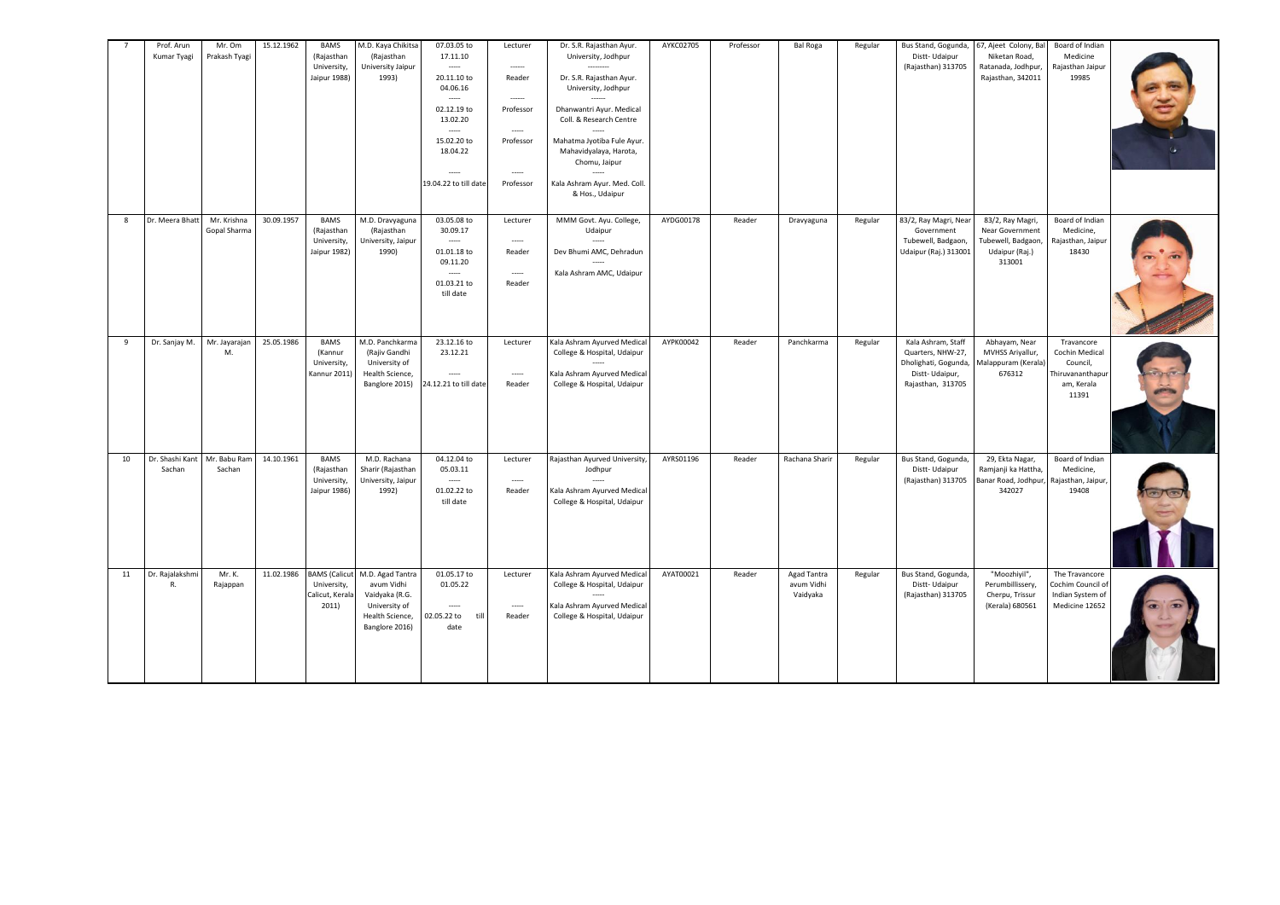|    | Prof. Arun<br>Kumar Tyagi | Mr. Om<br>Prakash Tyagi     | 15.12.1962 | <b>BAMS</b><br>(Rajasthan<br>University,<br>Jaipur 1988)        | M.D. Kaya Chikitsa<br>(Rajasthan<br>University Jaipur<br>1993)                                         | 07.03.05 to<br>17.11.10<br>$\cdots$<br>20.11.10 to<br>04.06.16<br>$\sim$<br>02.12.19 to<br>13.02.20<br>$\overline{a}$<br>15.02.20 to<br>18.04.22<br>$\cdots$<br>19.04.22 to till date | Lecturer<br>$\frac{1}{2} \left( \frac{1}{2} \right) \left( \frac{1}{2} \right) \left( \frac{1}{2} \right) \left( \frac{1}{2} \right) \left( \frac{1}{2} \right)$<br>Reader<br>------<br>Professor<br>$\sim$<br>Professor<br>$\sim$<br>Professor | Dr. S.R. Rajasthan Ayur.<br>University, Jodhpur<br>Dr. S.R. Rajasthan Ayur.<br>University, Jodhpur<br>Dhanwantri Ayur. Medical<br>Coll. & Research Centre<br>Mahatma Jyotiba Fule Ayur.<br>Mahavidyalaya, Harota,<br>Chomu, Jaipur<br>Kala Ashram Ayur. Med. Coll.<br>& Hos., Udaipur | AYKC02705 | Professor | <b>Bal Roga</b>                       | Regular | Bus Stand, Gogunda,<br>Distt-Udaipur<br>(Rajasthan) 313705                                             | 67, Ajeet Colony, Bal<br>Niketan Road,<br>Ratanada, Jodhpur,<br>Rajasthan, 342011     | Board of Indian<br>Medicine<br>Rajasthan Jaipur<br>19985                            |  |
|----|---------------------------|-----------------------------|------------|-----------------------------------------------------------------|--------------------------------------------------------------------------------------------------------|---------------------------------------------------------------------------------------------------------------------------------------------------------------------------------------|-------------------------------------------------------------------------------------------------------------------------------------------------------------------------------------------------------------------------------------------------|---------------------------------------------------------------------------------------------------------------------------------------------------------------------------------------------------------------------------------------------------------------------------------------|-----------|-----------|---------------------------------------|---------|--------------------------------------------------------------------------------------------------------|---------------------------------------------------------------------------------------|-------------------------------------------------------------------------------------|--|
| 8  | Dr. Meera Bhatt           | Mr. Krishna<br>Gopal Sharma | 30.09.1957 | <b>BAMS</b><br>(Rajasthan<br>University,<br>Jaipur 1982)        | M.D. Dravyaguna<br>(Rajasthan<br>University, Jaipur<br>1990)                                           | 03.05.08 to<br>30.09.17<br>$\cdots$<br>01.01.18 to<br>09.11.20<br>$\sim$<br>01.03.21 to<br>till date                                                                                  | Lecturer<br>$\overline{\phantom{a}}$<br>Reader<br>$\sim$<br>Reader                                                                                                                                                                              | MMM Govt. Ayu. College,<br>Udaipur<br>Dev Bhumi AMC, Dehradun<br>Kala Ashram AMC, Udaipur                                                                                                                                                                                             | AYDG00178 | Reader    | Dravyaguna                            | Regular | 83/2, Ray Magri, Near<br>Government<br>Tubewell, Badgaon,<br>Udaipur (Raj.) 313001                     | 83/2, Ray Magri,<br>Near Government<br>Tubewell, Badgaon,<br>Udaipur (Raj.)<br>313001 | Board of Indian<br>Medicine,<br>Rajasthan, Jaipur<br>18430                          |  |
| 9  | Dr. Sanjay M.             | Mr. Jayarajan<br>M.         | 25.05.1986 | <b>BAMS</b><br>(Kannur<br>University,<br>Kannur 2011)           | M.D. Panchkarma<br>(Rajiv Gandhi<br>University of<br>Health Science,<br>Banglore 2015)                 | 23.12.16 to<br>23.12.21<br>$\sim$<br>24.12.21 to till date                                                                                                                            | Lecturer<br>$\cdots$<br>Reader                                                                                                                                                                                                                  | Kala Ashram Ayurved Medical<br>College & Hospital, Udaipur<br>Kala Ashram Ayurved Medical<br>College & Hospital, Udaipur                                                                                                                                                              | AYPK00042 | Reader    | Panchkarma                            | Regular | Kala Ashram, Staff<br>Quarters, NHW-27,<br>Dholighati, Gogunda,<br>Distt-Udaipur,<br>Rajasthan, 313705 | Abhayam, Near<br>MVHSS Ariyallur,<br>Malappuram (Kerala)<br>676312                    | Travancore<br>Cochin Medical<br>Council,<br>Thiruvananthapur<br>am, Kerala<br>11391 |  |
| 10 | Dr. Shashi Kant<br>Sachan | Mr. Babu Ram<br>Sachan      | 14.10.1961 | <b>BAMS</b><br>(Rajasthan<br><b>University</b><br>Jaipur 1986)  | M.D. Rachana<br>Sharir (Rajasthan<br>University, Jaipur<br>1992)                                       | 04.12.04 to<br>05.03.11<br>$\sim$<br>01.02.22 to<br>till date                                                                                                                         | Lecturer<br>$\sim$<br>Reader                                                                                                                                                                                                                    | Rajasthan Ayurved University<br>Jodhpur<br>Kala Ashram Ayurved Medical<br>College & Hospital, Udaipur                                                                                                                                                                                 | AYRS01196 | Reader    | Rachana Sharir                        | Regular | Bus Stand, Gogunda,<br>Distt-Udaipur<br>(Rajasthan) 313705                                             | 29, Ekta Nagar,<br>Ramjanji ka Hattha,<br>Banar Road, Jodhpur,<br>342027              | Board of Indian<br>Medicine,<br>Rajasthan, Jaipur<br>19408                          |  |
| 11 | Dr. Rajalakshm<br>R.      | Mr. K.<br>Rajappan          | 11.02.1986 | <b>BAMS</b> (Calicut<br>University,<br>Calicut, Kerala<br>2011) | M.D. Agad Tantra<br>avum Vidhi<br>Vaidyaka (R.G.<br>University of<br>Health Science,<br>Banglore 2016) | 01.05.17 to<br>01.05.22<br>$\sim$<br>02.05.22 to<br>till<br>date                                                                                                                      | Lecturer<br>$\sim$<br>Reader                                                                                                                                                                                                                    | Kala Ashram Ayurved Medical<br>College & Hospital, Udaipur<br>Kala Ashram Ayurved Medical<br>College & Hospital, Udaipur                                                                                                                                                              | AYAT00021 | Reader    | Agad Tantra<br>avum Vidhi<br>Vaidyaka | Regular | Bus Stand, Gogunda,<br>Distt-Udaipur<br>(Rajasthan) 313705                                             | "Moozhiyil",<br>Perumbillissery,<br>Cherpu, Trissur<br>(Kerala) 680561                | The Travancore<br>Cochim Council of<br>Indian System of<br>Medicine 12652           |  |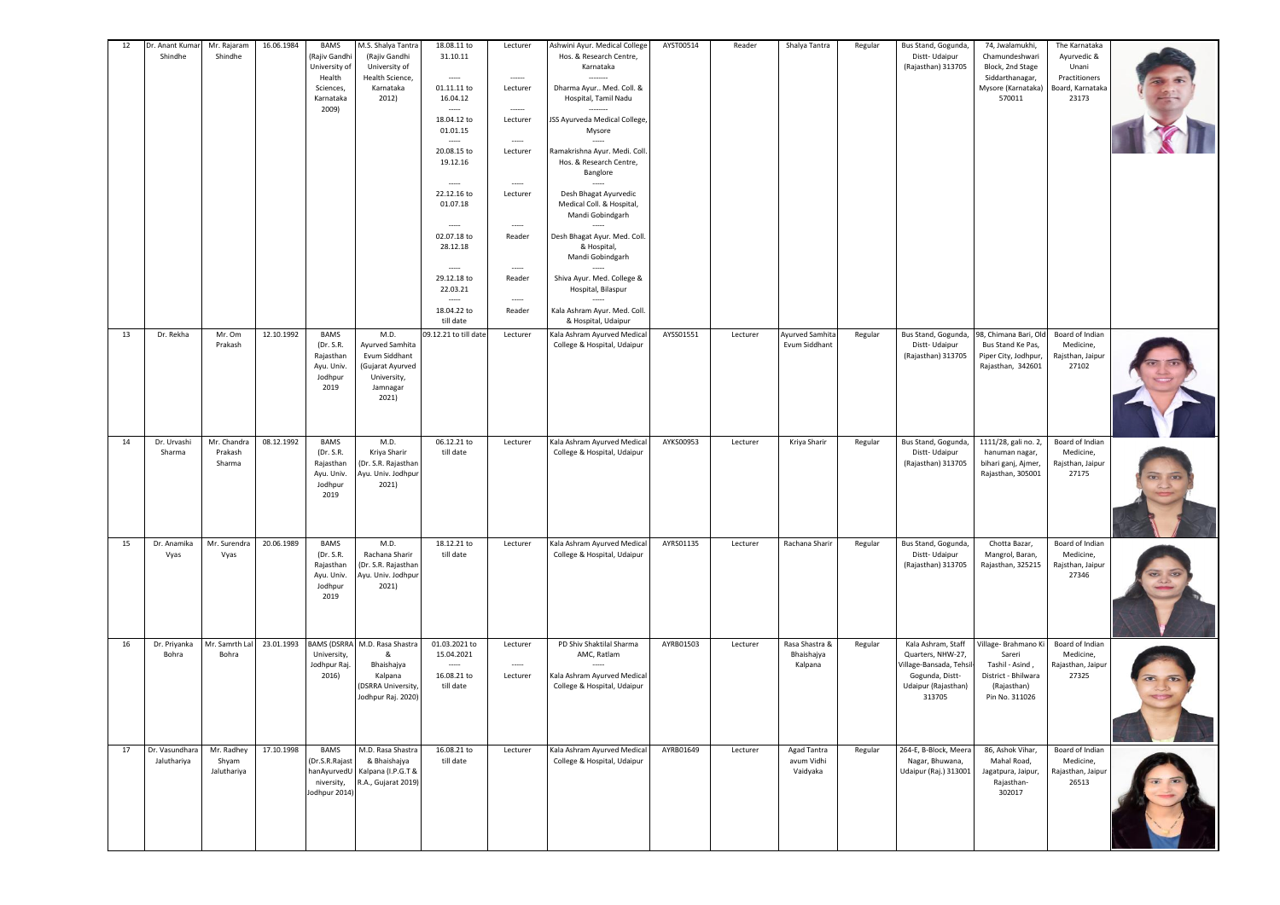| 12 | Dr. Anant Kumar<br>Shindhe    | Mr. Rajaram<br>Shindhe             | 16.06.1984 | <b>BAMS</b><br>(Rajiv Gandh<br>University of<br>Health<br>Sciences,<br>Karnataka<br>2009) | M.S. Shalya Tantra<br>(Rajiv Gandhi<br>University of<br>Health Science,<br>Karnataka<br>2012)    | 18.08.11 to<br>31.10.11<br>-----<br>01.11.11 to<br>16.04.12<br>18.04.12 to<br>01.01.15<br>-----<br>20.08.15 to<br>19.12.16<br>-----<br>22.12.16 to<br>01.07.18<br>-----<br>02.07.18 to<br>28.12.18<br>-----<br>29.12.18 to<br>22.03.21<br>$\overline{\phantom{a}}$<br>18.04.22 to<br>till date | Lecturer<br>-----<br>Lecturer<br>Lecturer<br>$\sim$<br>Lecturer<br>-----<br>Lecturer<br>-----<br>Reader<br>$\overline{\phantom{a}}$<br>Reader<br>$\sim$<br>Reader | Ashwini Ayur. Medical College<br>Hos. & Research Centre,<br>Karnataka<br>Dharma Ayur Med. Coll. &<br>Hospital, Tamil Nadu<br>JSS Ayurveda Medical College,<br>Mysore<br>Ramakrishna Ayur. Medi. Coll<br>Hos. & Research Centre,<br>Banglore<br>Desh Bhagat Ayurvedic<br>Medical Coll. & Hospital,<br>Mandi Gobindgarh<br>$\sim$<br>Desh Bhagat Ayur. Med. Coll.<br>& Hospital,<br>Mandi Gobindgarh<br>Shiva Ayur. Med. College &<br>Hospital, Bilaspur<br>Kala Ashram Ayur. Med. Coll.<br>& Hospital, Udaipur | AYST00514 | Reader   | Shalya Tantra                           | Regular | Bus Stand, Gogunda,<br>Distt-Udaipur<br>(Rajasthan) 313705                                                             | 74, Jwalamukhi,<br>Chamundeshwari<br>Block, 2nd Stage<br>Siddarthanagar,<br>Mysore (Karnataka)<br>570011  | The Karnataka<br>Ayurvedic &<br>Unani<br>Practitioners<br>Board, Karnataka<br>23173 |  |
|----|-------------------------------|------------------------------------|------------|-------------------------------------------------------------------------------------------|--------------------------------------------------------------------------------------------------|------------------------------------------------------------------------------------------------------------------------------------------------------------------------------------------------------------------------------------------------------------------------------------------------|-------------------------------------------------------------------------------------------------------------------------------------------------------------------|---------------------------------------------------------------------------------------------------------------------------------------------------------------------------------------------------------------------------------------------------------------------------------------------------------------------------------------------------------------------------------------------------------------------------------------------------------------------------------------------------------------|-----------|----------|-----------------------------------------|---------|------------------------------------------------------------------------------------------------------------------------|-----------------------------------------------------------------------------------------------------------|-------------------------------------------------------------------------------------|--|
| 13 | Dr. Rekha                     | Mr. Om<br>Prakash                  | 12.10.1992 | <b>BAMS</b><br>(Dr. S.R.<br>Rajasthan<br>Ayu. Univ.<br>Jodhpur<br>2019                    | M.D.<br>Ayurved Samhita<br>Evum Siddhant<br>(Gujarat Ayurved<br>University,<br>Jamnagar<br>2021) | 09.12.21 to till date                                                                                                                                                                                                                                                                          | Lecturer                                                                                                                                                          | Kala Ashram Ayurved Medical<br>College & Hospital, Udaipur                                                                                                                                                                                                                                                                                                                                                                                                                                                    | AYSS01551 | Lecturer | Ayurved Samhita<br>Evum Siddhant        | Regular | Bus Stand, Gogunda,<br>Distt-Udaipur<br>(Rajasthan) 313705                                                             | 98, Chimana Bari, Old<br>Bus Stand Ke Pas,<br>Piper City, Jodhpur,<br>Rajasthan, 342601                   | Board of Indian<br>Medicine,<br>Rajsthan, Jaipur<br>27102                           |  |
| 14 | Dr. Urvashi<br>Sharma         | Mr. Chandra<br>Prakash<br>Sharma   | 08.12.1992 | <b>BAMS</b><br>(Dr. S.R.<br>Rajasthan<br>Ayu. Univ.<br>Jodhpur<br>2019                    | M.D.<br>Kriya Sharir<br>(Dr. S.R. Rajasthan<br>Ayu. Univ. Jodhpur<br>2021)                       | 06.12.21 to<br>till date                                                                                                                                                                                                                                                                       | Lecturer                                                                                                                                                          | Kala Ashram Ayurved Medical<br>College & Hospital, Udaipur                                                                                                                                                                                                                                                                                                                                                                                                                                                    | AYKS00953 | Lecturer | Kriya Sharir                            | Regular | Bus Stand, Gogunda,<br>Distt-Udaipur<br>(Rajasthan) 313705                                                             | 1111/28, gali no. 2,<br>hanuman nagar,<br>bihari ganj, Ajmer,<br>Rajasthan, 305001                        | Board of Indian<br>Medicine,<br>Rajsthan, Jaipur<br>27175                           |  |
| 15 | Dr. Anamika<br>Vyas           | Mr. Surendra<br>Vyas               | 20.06.1989 | <b>BAMS</b><br>(Dr. S.R.<br>Rajasthan<br>Ayu. Univ.<br>Jodhpur<br>2019                    | M.D.<br>Rachana Sharir<br>(Dr. S.R. Rajasthan<br>Ayu. Univ. Jodhpur<br>2021)                     | 18.12.21 to<br>till date                                                                                                                                                                                                                                                                       | Lecturer                                                                                                                                                          | Kala Ashram Ayurved Medical<br>College & Hospital, Udaipur                                                                                                                                                                                                                                                                                                                                                                                                                                                    | AYRS01135 | Lecturer | Rachana Sharir                          | Regular | Bus Stand, Gogunda,<br>Distt-Udaipur<br>(Rajasthan) 313705                                                             | Chotta Bazar,<br>Mangrol, Baran,<br>Rajasthan, 325215                                                     | Board of Indian<br>Medicine,<br>Rajsthan, Jaipur<br>27346                           |  |
| 16 | Dr. Priyanka<br>Bohra         | Mr. Samrth Lal<br>Bohra            | 23.01.1993 | <b>BAMS (DSRRA</b><br>University,<br>Jodhpur Raj<br>2016)                                 | M.D. Rasa Shastra<br>&<br>Bhaishajya<br>Kalpana<br><b>DSRRA University</b><br>Jodhpur Raj. 2020) | 01.03.2021 to<br>15.04.2021<br>16.08.21 to<br>till date                                                                                                                                                                                                                                        | Lecturer<br>$\sim$<br>Lecturer                                                                                                                                    | PD Shiv Shaktilal Sharma<br>AMC, Ratlam<br>Kala Ashram Ayurved Medical<br>College & Hospital, Udaipur                                                                                                                                                                                                                                                                                                                                                                                                         | AYRB01503 | Lecturer | Rasa Shastra &<br>Bhaishajya<br>Kalpana | Regular | Kala Ashram, Staff<br>Quarters, NHW-27,<br>Village-Bansada, Tehsil<br>Gogunda, Distt-<br>Udaipur (Rajasthan)<br>313705 | Village- Brahmano Ki<br>Sareri<br>Tashil - Asind,<br>District - Bhilwara<br>(Rajasthan)<br>Pin No. 311026 | Board of Indian<br>Medicine,<br>Rajasthan, Jaipur<br>27325                          |  |
| 17 | Dr. Vasundhara<br>Jaluthariya | Mr. Radhey<br>Shyam<br>Jaluthariya | 17.10.1998 | <b>BAMS</b><br>(Dr.S.R.Rajast<br>hanAyurvedU<br>niversity,<br>Jodhpur 2014)               | M.D. Rasa Shastra<br>& Bhaishajya<br>Kalpana (I.P.G.T &<br>R.A., Gujarat 2019)                   | 16.08.21 to<br>till date                                                                                                                                                                                                                                                                       | Lecturer                                                                                                                                                          | Kala Ashram Ayurved Medical<br>College & Hospital, Udaipur                                                                                                                                                                                                                                                                                                                                                                                                                                                    | AYRB01649 | Lecturer | Agad Tantra<br>avum Vidhi<br>Vaidyaka   | Regular | 264-E, B-Block, Meera<br>Nagar, Bhuwana,<br>Udaipur (Raj.) 313001                                                      | 86, Ashok Vihar,<br>Mahal Road,<br>Jagatpura, Jaipur,<br>Rajasthan-<br>302017                             | Board of Indian<br>Medicine,<br>Rajasthan, Jaipur<br>26513                          |  |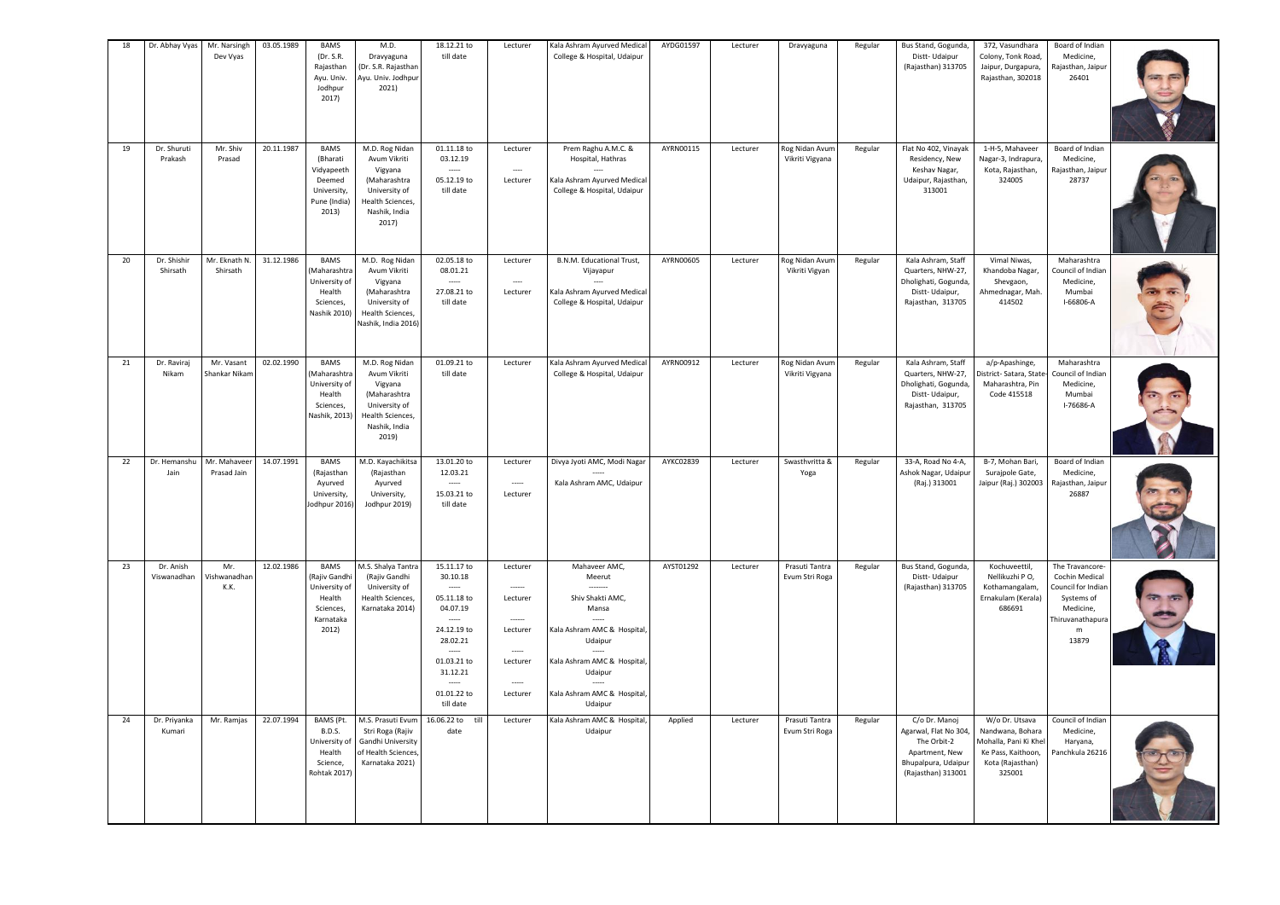| 18       | Dr. Abhay Vyas                       | Mr. Narsingh<br>Dev Vyas                    | 03.05.1989               | BAMS<br>(Dr. S.R.<br>Rajasthan<br>Ayu. Univ.<br>Jodhpur<br>2017)                                   | M.D.<br>Dravyaguna<br>(Dr. S.R. Rajasthan<br>Ayu. Univ. Jodhpur<br>2021)                                                                      | 18.12.21 to<br>till date                                                                                                                       | Lecturer                                                           | Kala Ashram Ayurved Medical<br>College & Hospital, Udaipur                                                                                                                         | AYDG01597              | Lecturer             | Dravyaguna                                          | Regular | Bus Stand, Gogunda,<br>Distt-Udaipur<br>(Rajasthan) 313705                                                                   | 372, Vasundhara<br>Colony, Tonk Road,<br>Jaipur, Durgapura,<br>Rajasthan, 302018                               | Board of Indian<br>Medicine,<br>Rajasthan, Jaipur<br>26401                                                           |  |
|----------|--------------------------------------|---------------------------------------------|--------------------------|----------------------------------------------------------------------------------------------------|-----------------------------------------------------------------------------------------------------------------------------------------------|------------------------------------------------------------------------------------------------------------------------------------------------|--------------------------------------------------------------------|------------------------------------------------------------------------------------------------------------------------------------------------------------------------------------|------------------------|----------------------|-----------------------------------------------------|---------|------------------------------------------------------------------------------------------------------------------------------|----------------------------------------------------------------------------------------------------------------|----------------------------------------------------------------------------------------------------------------------|--|
| 19       | Dr. Shuruti<br>Prakash               | Mr. Shiv<br>Prasad                          | 20.11.1987               | <b>BAMS</b><br>(Bharati<br>Vidyapeeth<br>Deemed<br>University,<br>Pune (India)<br>2013)            | M.D. Rog Nidan<br>Avum Vikriti<br>Vigyana<br>(Maharashtra<br>University of<br>Health Sciences,<br>Nashik, India<br>2017)                      | 01.11.18 to<br>03.12.19<br>05.12.19 to<br>till date                                                                                            | Lecturer<br>$\sim$<br>Lecturer                                     | Prem Raghu A.M.C. &<br>Hospital, Hathras<br>Kala Ashram Ayurved Medical<br>College & Hospital, Udaipur                                                                             | AYRN00115              | Lecturer             | Rog Nidan Avum<br>Vikriti Vigyana                   | Regular | Flat No 402, Vinayak<br>Residency, New<br>Keshav Nagar,<br>Udaipur, Rajasthan,<br>313001                                     | 1-H-5, Mahaveer<br>Nagar-3, Indrapura,<br>Kota, Rajasthan,<br>324005                                           | Board of Indian<br>Medicine,<br>Rajasthan, Jaipur<br>28737                                                           |  |
| 20       | Dr. Shishir<br>Shirsath              | Mr. Eknath N.<br>Shirsath                   | 31.12.1986               | <b>BAMS</b><br>Maharashtra<br>University of<br>Health<br>Sciences,<br>Nashik 2010)                 | M.D. Rog Nidan<br>Avum Vikriti<br>Vigyana<br>(Maharashtra<br>University of<br>Health Sciences,<br>Nashik, India 2016)                         | 02.05.18 to<br>08.01.21<br>27.08.21 to<br>till date                                                                                            | Lecturer<br>$\overline{\phantom{a}}$<br>Lecturer                   | B.N.M. Educational Trust,<br>Vijayapur<br>Kala Ashram Ayurved Medical<br>College & Hospital, Udaipur                                                                               | AYRN00605              | Lecturer             | Rog Nidan Avum<br>Vikriti Vigyan                    | Regular | Kala Ashram, Staff<br>Quarters, NHW-27,<br>Dholighati, Gogunda,<br>Distt-Udaipur,<br>Rajasthan, 313705                       | Vimal Niwas,<br>Khandoba Nagar,<br>Shevgaon,<br>Ahmednagar, Mah.<br>414502                                     | Maharashtra<br>Council of Indian<br>Medicine,<br>Mumbai<br>I-66806-A                                                 |  |
| 21<br>22 | Dr. Raviraj<br>Nikam<br>Dr. Hemanshu | Mr. Vasant<br>Shankar Nikan<br>Mr. Mahaveer | 02.02.1990<br>14.07.1991 | <b>BAMS</b><br>Maharashtra<br>University of<br>Health<br>Sciences,<br>Nashik, 2013)<br><b>BAMS</b> | M.D. Rog Nidan<br>Avum Vikriti<br>Vigyana<br>(Maharashtra<br>University of<br>Health Sciences,<br>Nashik, India<br>2019)<br>M.D. Kayachikitsa | 01.09.21 to<br>till date<br>13.01.20 to                                                                                                        | Lecturer<br>Lecturer                                               | Kala Ashram Ayurved Medical<br>College & Hospital, Udaipur<br>Divya Jyoti AMC, Modi Nagar                                                                                          | AYRN00912<br>AYKC02839 | Lecturer<br>Lecturer | Rog Nidan Avum<br>Vikriti Vigyana<br>Swasthvritta & | Regular | Kala Ashram, Staff<br>Quarters, NHW-27,<br>Dholighati, Gogunda,<br>Distt-Udaipur,<br>Rajasthan, 313705<br>33-A, Road No 4-A, | a/p-Apashinge,<br>Vistrict- Satara, State<br>Maharashtra, Pin<br>Code 415518<br>B-7, Mohan Bari,               | Maharashtra<br>Council of Indian<br>Medicine,<br>Mumbai<br>I-76686-A<br>Board of Indian                              |  |
|          | Jain                                 | Prasad Jain                                 |                          | (Rajasthan<br>Ayurved<br>University,<br>lodhpur 2016)                                              | (Rajasthan<br>Ayurved<br>University,<br>Jodhpur 2019)                                                                                         | 12.03.21<br>$\sim$<br>15.03.21 to<br>till date                                                                                                 | $\cdots$<br>Lecturer                                               | Kala Ashram AMC, Udaipur                                                                                                                                                           |                        |                      | Yoga                                                | Regular | Ashok Nagar, Udaipur<br>(Raj.) 313001                                                                                        | Surajpole Gate,<br>Jaipur (Raj.) 302003                                                                        | Medicine,<br>Rajasthan, Jaipur<br>26887                                                                              |  |
| 23       | Dr. Anish<br>Viswanadhan             | Mr<br>Vishwanadhan<br>K.K.                  | 12.02.1986               | <b>BAMS</b><br>Rajiv Gandh<br>University of<br>Health<br>Sciences,<br>Karnataka<br>2012)           | M.S. Shalya Tantra<br>(Rajiv Gandhi<br>University of<br>Health Sciences,<br>Karnataka 2014)                                                   | 15.11.17 to<br>30.10.18<br>$\sim$<br>05.11.18 to<br>04.07.19<br>24.12.19 to<br>28.02.21<br>01.03.21 to<br>31.12.21<br>01.01.22 to<br>till date | Lecturer<br>Lecturer<br>Lecturer<br>$\sim$<br>Lecturer<br>Lecturer | Mahaveer AMC,<br>Meerut<br>Shiv Shakti AMC.<br>Mansa<br>Kala Ashram AMC & Hospital,<br>Udaipur<br>Kala Ashram AMC & Hospital,<br>Udaipur<br>Kala Ashram AMC & Hospital,<br>Udaipur | AYST01292              | Lecturer             | Prasuti Tantra<br>Evum Stri Roga                    | Regular | Bus Stand, Gogunda,<br>Distt-Udaipur<br>(Rajasthan) 313705                                                                   | Kochuveettil,<br>Nellikuzhi PO,<br>Kothamangalam,<br>Ernakulam (Kerala)<br>686691                              | The Travancore-<br>Cochin Medical<br>Council for Indian<br>Systems of<br>Medicine,<br>Thiruvanathapura<br>m<br>13879 |  |
| 24       | Dr. Priyanka<br>Kumari               | Mr. Ramjas                                  | 22.07.1994               | BAMS (Pt.<br><b>B.D.S.</b><br>University of<br>Health<br>Science,<br>Rohtak 2017                   | M.S. Prasuti Evum<br>Stri Roga (Rajiv<br>Gandhi University<br>of Health Sciences,<br>Karnataka 2021)                                          | 16.06.22 to<br>till<br>date                                                                                                                    | Lecturer                                                           | Kala Ashram AMC & Hospital,<br>Udaipur                                                                                                                                             | Applied                | Lecturer             | Prasuti Tantra<br>Evum Stri Roga                    | Regular | C/o Dr. Manoj<br>Agarwal, Flat No 304,<br>The Orbit-2<br>Apartment, New<br>Bhupalpura, Udaipur<br>(Rajasthan) 313001         | W/o Dr. Utsava<br>Nandwana, Bohara<br>Aohalla, Pani Ki Khe<br>Ke Pass, Kaithoon,<br>Kota (Rajasthan)<br>325001 | Council of Indian<br>Medicine,<br>Haryana,<br>Panchkula 26216                                                        |  |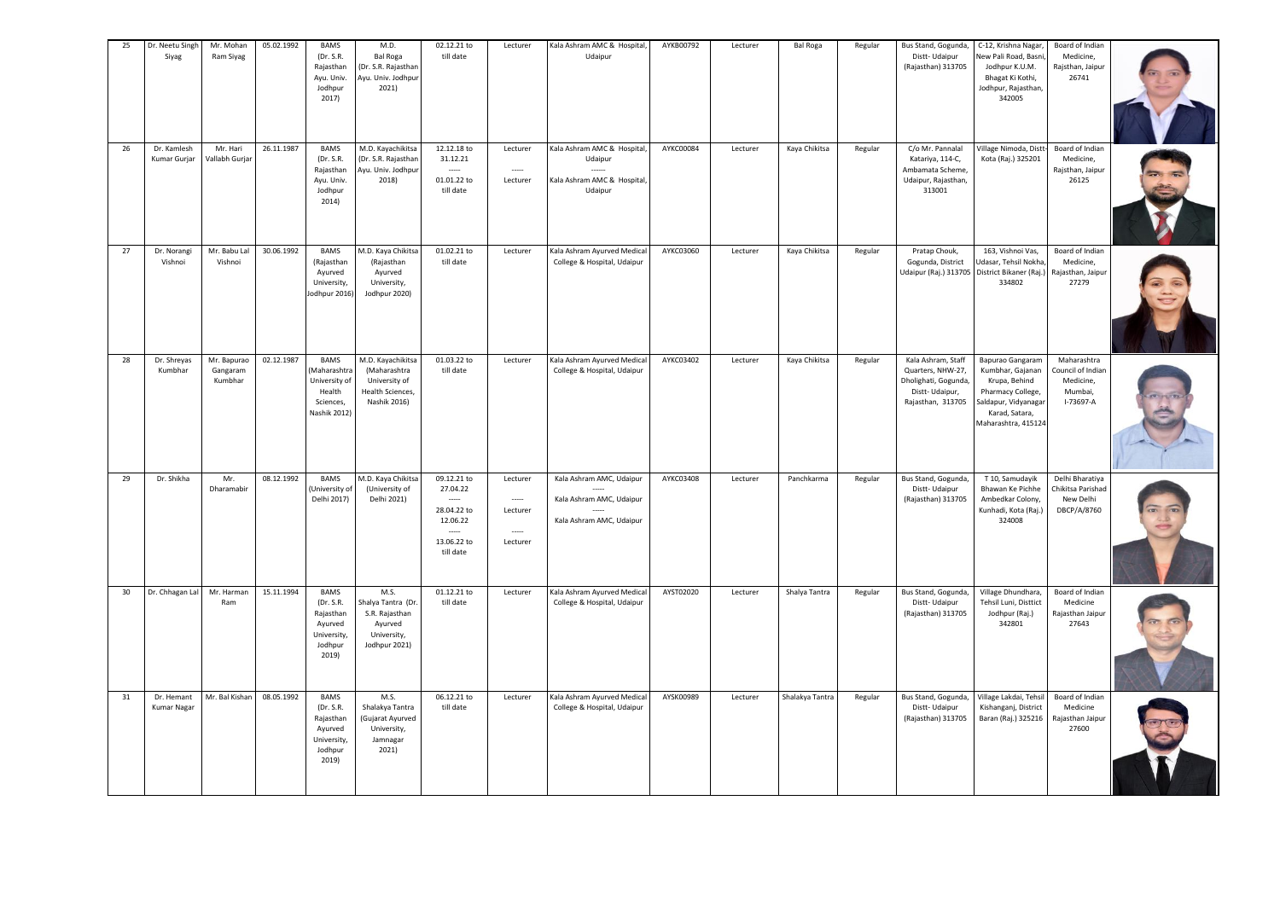| 25<br>26 | Dr. Neetu Singh<br>Siyag<br>Dr. Kamlesh | Mr. Mohan<br>Ram Siyag<br>Mr. Hari | 05.02.1992<br>26.11.1987 | <b>BAMS</b><br>(Dr. S.R.<br>Rajasthan<br>Ayu. Univ.<br>Jodhpur<br>2017)<br>BAMS     | M.D.<br><b>Bal Roga</b><br>(Dr. S.R. Rajasthan<br>Ayu. Univ. Jodhpur<br>2021)<br>M.D. Kayachikitsa | 02.12.21 to<br>till date<br>12.12.18 to                                        | Lecturer                                               | Kala Ashram AMC & Hospital,<br>Udaipur<br>Kala Ashram AMC & Hospital,            | AYKB00792<br>AYKC00084 | Lecturer | <b>Bal Roga</b><br>Kaya Chikitsa | Regular<br>Regular | Bus Stand, Gogunda,<br>Distt-Udaipur<br>(Rajasthan) 313705<br>C/o Mr. Pannalal                        | C-12, Krishna Nagar,<br>New Pali Road, Basni<br>Jodhpur K.U.M.<br>Bhagat Ki Kothi,<br>Jodhpur, Rajasthan,<br>342005                         | Board of Indian<br>Medicine,<br>Rajsthan, Jaipur<br>26741             |  |
|----------|-----------------------------------------|------------------------------------|--------------------------|-------------------------------------------------------------------------------------|----------------------------------------------------------------------------------------------------|--------------------------------------------------------------------------------|--------------------------------------------------------|----------------------------------------------------------------------------------|------------------------|----------|----------------------------------|--------------------|-------------------------------------------------------------------------------------------------------|---------------------------------------------------------------------------------------------------------------------------------------------|-----------------------------------------------------------------------|--|
|          | Kumar Gurjar                            | Vallabh Gurjar                     |                          | (Dr. S.R.<br>Rajasthan<br>Ayu. Univ.<br>Jodhpur<br>2014)                            | (Dr. S.R. Rajasthan<br>Ayu. Univ. Jodhpur<br>2018)                                                 | 31.12.21<br>01.01.22 to<br>till date                                           | Lecturer<br>Lecturer                                   | Udaipur<br>Kala Ashram AMC & Hospital,<br>Udaipur                                |                        | Lecturer |                                  |                    | Katariya, 114-C,<br>Ambamata Scheme,<br>Udaipur, Rajasthan,<br>313001                                 | Village Nimoda, Distt-<br>Kota (Raj.) 325201                                                                                                | Board of Indian<br>Medicine,<br>Rajsthan, Jaipur<br>26125             |  |
| 27       | Dr. Norangi<br>Vishnoi                  | Mr. Babu Lal<br>Vishnoi            | 30.06.1992               | <b>BAMS</b><br>(Rajasthan<br>Ayurved<br>University,<br>Jodhpur 2016)                | M.D. Kaya Chikitsa<br>(Rajasthan<br>Ayurved<br>University,<br>Jodhpur 2020)                        | 01.02.21 to<br>till date                                                       | Lecturer                                               | Kala Ashram Ayurved Medical<br>College & Hospital, Udaipur                       | AYKC03060              | Lecturer | Kaya Chikitsa                    | Regular            | Pratap Chouk,<br>Gogunda, District<br>Udaipur (Raj.) 313705 District Bikaner (Raj.)                   | 163, Vishnoi Vas,<br>Jdasar, Tehsil Nokha<br>334802                                                                                         | Board of Indian<br>Medicine,<br>Rajasthan, Jaipur<br>27279            |  |
| 28       | Dr. Shreyas<br>Kumbhar                  | Mr. Bapurao<br>Gangaram<br>Kumbhar | 02.12.1987               | BAMS<br>(Maharashtra<br>University of<br>Health<br>Sciences.<br>Nashik 2012)        | M.D. Kayachikitsa<br>(Maharashtra<br>University of<br>Health Sciences,<br>Nashik 2016)             | 01.03.22 to<br>till date                                                       | Lecturer                                               | Kala Ashram Ayurved Medical<br>College & Hospital, Udaipur                       | AYKC03402              | Lecturer | Kaya Chikitsa                    | Regular            | Kala Ashram, Staff<br>Quarters, NHW-27,<br>Dholighati, Gogunda<br>Distt-Udaipur,<br>Rajasthan, 313705 | Bapurao Gangaram<br>Kumbhar, Gajanan<br>Krupa, Behind<br>Pharmacy College,<br>Saldapur, Vidyanagar<br>Karad, Satara,<br>Maharashtra, 415124 | Maharashtra<br>Council of Indian<br>Medicine,<br>Mumbai,<br>I-73697-A |  |
| 29       | Dr. Shikha                              | Mr.<br>Dharamabir                  | 08.12.1992               | <b>BAMS</b><br>(University of<br>Delhi 2017)                                        | M.D. Kaya Chikitsa<br>(University of<br>Delhi 2021)                                                | 09.12.21 to<br>27.04.22<br>28.04.22 to<br>12.06.22<br>13.06.22 to<br>till date | Lecturer<br>$\cdots$<br>Lecturer<br>$\sim$<br>Lecturer | Kala Ashram AMC, Udaipur<br>Kala Ashram AMC, Udaipur<br>Kala Ashram AMC, Udaipur | AYKC03408              | Lecturer | Panchkarma                       | Regular            | Bus Stand, Gogunda,<br>Distt-Udaipur<br>(Rajasthan) 313705                                            | T 10, Samudayik<br>Bhawan Ke Pichhe<br>Ambedkar Colony,<br>Kunhadi, Kota (Raj.)<br>324008                                                   | Delhi Bharatiya<br>Chikitsa Parishad<br>New Delhi<br>DBCP/A/8760      |  |
| 30       | Dr. Chhagan Lal                         | Mr. Harman<br>Ram                  | 15.11.1994               | <b>BAMS</b><br>(Dr. S.R.<br>Rajasthan<br>Ayurved<br>University,<br>Jodhpur<br>2019) | M.S.<br>Shalya Tantra (Dr.<br>S.R. Rajasthan<br>Ayurved<br>University,<br>Jodhpur 2021)            | 01.12.21 to<br>till date                                                       | Lecturer                                               | Kala Ashram Ayurved Medical<br>College & Hospital, Udaipur                       | AYST02020              | Lecturer | Shalya Tantra                    | Regular            | Bus Stand, Gogunda,<br>Distt-Udaipur<br>(Rajasthan) 313705                                            | Village Dhundhara,<br>Tehsil Luni, Disttict<br>Jodhpur (Raj.)<br>342801                                                                     | Board of Indian<br>Medicine<br>Rajasthan Jaipur<br>27643              |  |
| 31       | Dr. Hemant<br><b>Kumar Nagar</b>        | Mr. Bal Kishan                     | 08.05.1992               | BAMS<br>(Dr. S.R.<br>Rajasthan<br>Ayurved<br>University,<br>Jodhpur<br>2019)        | M.S.<br>Shalakya Tantra<br>(Gujarat Ayurved<br>University,<br>Jamnagar<br>2021)                    | 06.12.21 to<br>till date                                                       | Lecturer                                               | Kala Ashram Ayurved Medical<br>College & Hospital, Udaipur                       | AYSK00989              | Lecturer | Shalakya Tantra                  | Regular            | Bus Stand, Gogunda,<br>Distt-Udaipur<br>(Rajasthan) 313705                                            | Village Lakdai, Tehsil<br>Kishanganj, District<br>Baran (Raj.) 325216                                                                       | Board of Indian<br>Medicine<br>Rajasthan Jaipur<br>27600              |  |